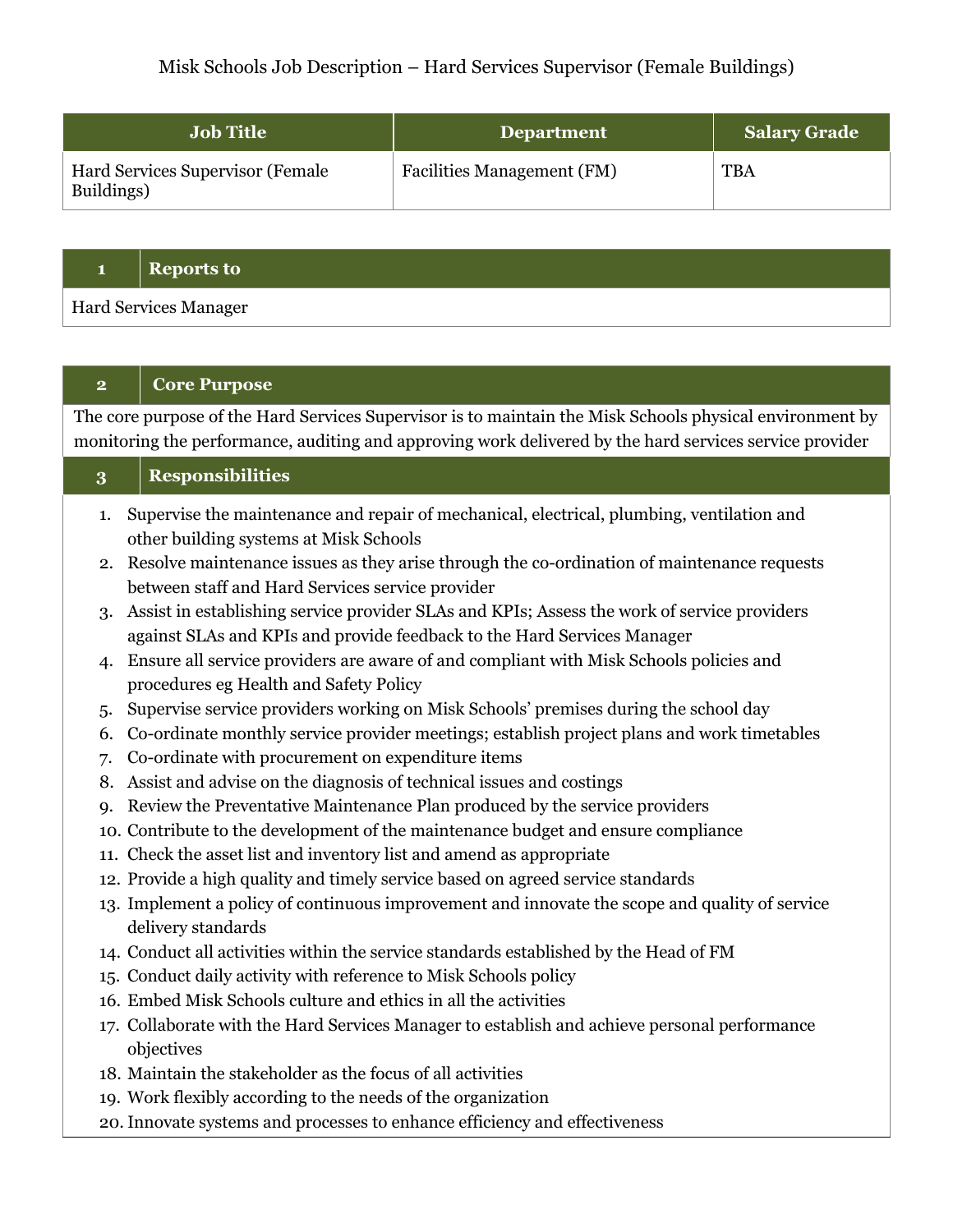# Misk Schools Job Description – Hard Services Supervisor (Female Buildings)

| <b>Job Title</b>                               | <b>Department</b>                 | <b>Salary Grade</b> |
|------------------------------------------------|-----------------------------------|---------------------|
| Hard Services Supervisor (Female<br>Buildings) | <b>Facilities Management (FM)</b> | <b>TBA</b>          |

#### **1 Reports to**

Hard Services Manager

### **2 Core Purpose**

The core purpose of the Hard Services Supervisor is to maintain the Misk Schools physical environment by monitoring the performance, auditing and approving work delivered by the hard services service provider

### **3 Responsibilities**

- 1. Supervise the maintenance and repair of mechanical, electrical, plumbing, ventilation and other building systems at Misk Schools
- 2. Resolve maintenance issues as they arise through the co-ordination of maintenance requests between staff and Hard Services service provider
- 3. Assist in establishing service provider SLAs and KPIs; Assess the work of service providers against SLAs and KPIs and provide feedback to the Hard Services Manager
- 4. Ensure all service providers are aware of and compliant with Misk Schools policies and procedures eg Health and Safety Policy
- 5. Supervise service providers working on Misk Schools' premises during the school day
- 6. Co-ordinate monthly service provider meetings; establish project plans and work timetables
- 7. Co-ordinate with procurement on expenditure items
- 8. Assist and advise on the diagnosis of technical issues and costings
- 9. Review the Preventative Maintenance Plan produced by the service providers
- 10. Contribute to the development of the maintenance budget and ensure compliance
- 11. Check the asset list and inventory list and amend as appropriate
- 12. Provide a high quality and timely service based on agreed service standards
- 13. Implement a policy of continuous improvement and innovate the scope and quality of service delivery standards
- 14. Conduct all activities within the service standards established by the Head of FM
- 15. Conduct daily activity with reference to Misk Schools policy
- 16. Embed Misk Schools culture and ethics in all the activities
- 17. Collaborate with the Hard Services Manager to establish and achieve personal performance objectives
- 18. Maintain the stakeholder as the focus of all activities
- 19. Work flexibly according to the needs of the organization
- 20.Innovate systems and processes to enhance efficiency and effectiveness